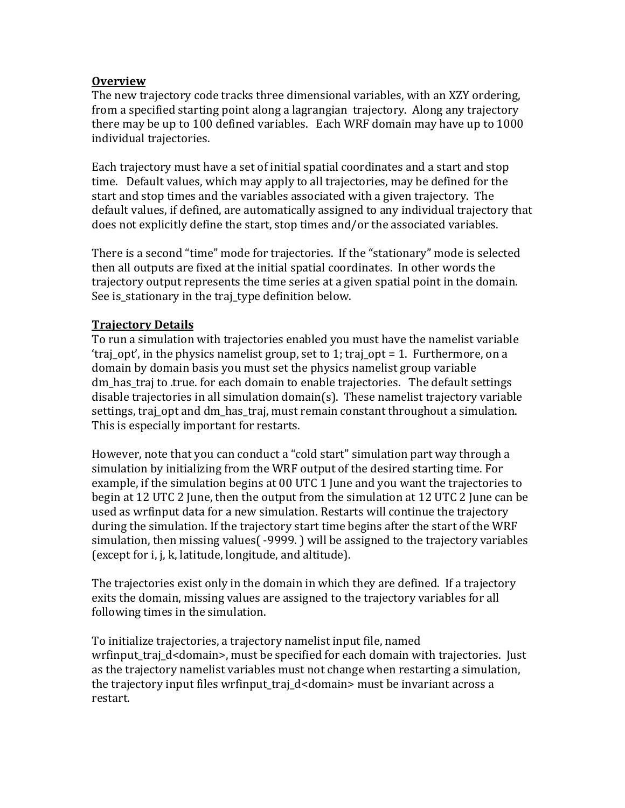### **Overview**

The new trajectory code tracks three dimensional variables, with an XZY ordering, from a specified starting point along a lagrangian trajectory. Along any trajectory there may be up to 100 defined variables. Each WRF domain may have up to 1000 individual trajectories.

Each trajectory must have a set of initial spatial coordinates and a start and stop time. Default values, which may apply to all trajectories, may be defined for the start and stop times and the variables associated with a given trajectory. The default values, if defined, are automatically assigned to any individual trajectory that does not explicitly define the start, stop times and/or the associated variables.

There is a second "time" mode for trajectories. If the "stationary" mode is selected then all outputs are fixed at the initial spatial coordinates. In other words the trajectory output represents the time series at a given spatial point in the domain. See is\_stationary in the traj\_type definition below.

## **Trajectory Details**

To run a simulation with trajectories enabled you must have the namelist variable 'traj\_opt', in the physics namelist group, set to 1; traj\_opt = 1. Furthermore, on a domain by domain basis you must set the physics namelist group variable dm has traj to .true. for each domain to enable trajectories. The default settings disable trajectories in all simulation domain(s). These namelist trajectory variable settings, traj opt and dm has traj, must remain constant throughout a simulation. This is especially important for restarts.

However, note that you can conduct a "cold start" simulation part way through a simulation by initializing from the WRF output of the desired starting time. For example, if the simulation begins at 00 UTC 1 June and you want the trajectories to begin at 12 UTC 2 June, then the output from the simulation at 12 UTC 2 June can be used as wrfinput data for a new simulation. Restarts will continue the trajectory during the simulation. If the trajectory start time begins after the start of the WRF simulation, then missing values  $\left( -9999. \right)$  will be assigned to the trajectory variables (except for i, j, k, latitude, longitude, and altitude).

The trajectories exist only in the domain in which they are defined. If a trajectory exits the domain, missing values are assigned to the trajectory variables for all following times in the simulation.

To initialize trajectories, a trajectory namelist input file, named wrfinput\_traj\_d<domain>, must be specified for each domain with trajectories. Just as the trajectory namelist variables must not change when restarting a simulation, the trajectory input files wrfinput traj  $d$  < domain> must be invariant across a restart.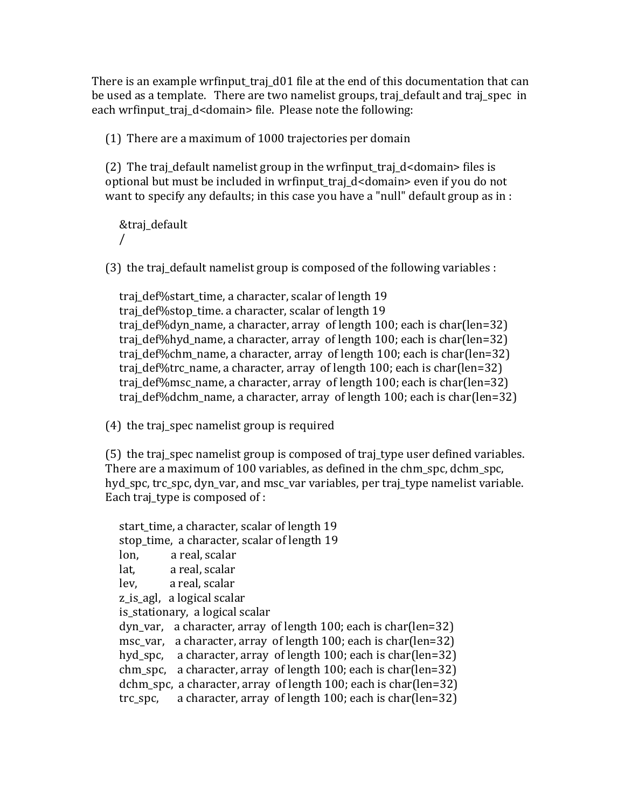There is an example wrfinput traj  $d01$  file at the end of this documentation that can be used as a template. There are two namelist groups, traj\_default and traj\_spec in each wrfinput traj d<domain> file. Please note the following:

(1) There are a maximum of 1000 trajectories per domain

(2) The traj\_default namelist group in the wrfinput\_traj\_d<domain> files is optional but must be included in wrfinput\_traj\_d<domain> even if you do not want to specify any defaults; in this case you have a "null" default group as in :

&traj\_default /

(3) the traj\_default namelist group is composed of the following variables :

traj\_def%start\_time, a character, scalar of length 19 traj\_def%stop\_time. a character, scalar of length 19 traj\_def%dyn\_name, a character, array of length  $100$ ; each is char(len=32) traj def%hyd name, a character, array of length 100; each is char(len=32) traj\_def%chm\_name, a character, array of length  $100$ ; each is char(len=32) traj\_def%trc\_name, a character, array of length 100; each is char(len=32) traj def%msc name, a character, array of length 100; each is char(len=32) traj\_def%dchm\_name, a character, array of length 100; each is char(len=32)

 $(4)$  the traj\_spec namelist group is required

(5) the traj\_spec namelist group is composed of traj\_type user defined variables. There are a maximum of 100 variables, as defined in the chm\_spc, dchm\_spc, hyd\_spc, trc\_spc, dyn\_var, and msc\_var variables, per traj\_type namelist variable. Each traj type is composed of :

start time, a character, scalar of length 19 stop time, a character, scalar of length 19 lon, a real, scalar lat, a real, scalar lev, a real, scalar z\_is\_agl, a logical scalar is stationary, a logical scalar dyn var, a character, array of length  $100$ ; each is char(len=32) msc var, a character, array of length  $100$ ; each is char(len=32) hyd\_spc, a character, array of length  $100$ ; each is char(len=32) chm spc, a character, array of length  $100$ ; each is char(len=32) dchm\_spc, a character, array of length 100; each is char(len=32) trc spc, a character, array of length  $100$ ; each is char(len=32)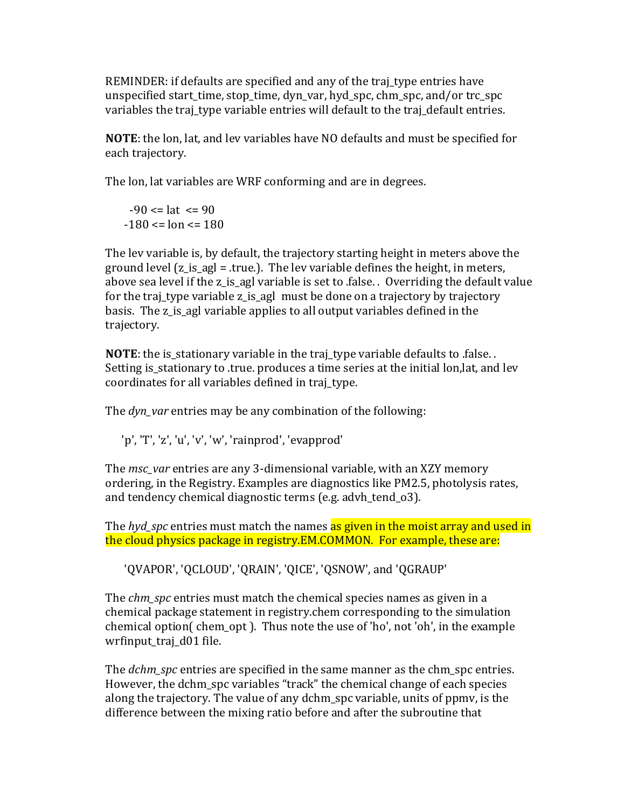REMINDER: if defaults are specified and any of the traj type entries have unspecified start\_time, stop\_time, dyn\_var, hyd\_spc, chm\_spc, and/or trc\_spc variables the traj\_type variable entries will default to the traj\_default entries.

**NOTE:** the lon, lat, and lev variables have NO defaults and must be specified for each trajectory.

The lon, lat variables are WRF conforming and are in degrees.

 $-90 \leq$  at  $\leq$  90  $-180 \leq -180 \leq -180$ 

The lev variable is, by default, the trajectory starting height in meters above the ground level  $(z_is\_ag] = true$ . The lev variable defines the height, in meters, above sea level if the z is agl variable is set to false. Overriding the default value for the traj\_type variable z\_is\_agl must be done on a trajectory by trajectory basis. The z\_is\_agl variable applies to all output variables defined in the trajectory.

**NOTE**: the is\_stationary variable in the traj\_type variable defaults to .false. . Setting is\_stationary to .true. produces a time series at the initial lon, lat, and lev coordinates for all variables defined in traj type.

The *dyn\_var* entries may be any combination of the following:

'p', 'T', 'z', 'u', 'v', 'w', 'rainprod', 'evapprod'

The *msc\_var* entries are any 3-dimensional variable, with an XZY memory ordering, in the Registry. Examples are diagnostics like PM2.5, photolysis rates, and tendency chemical diagnostic terms (e.g. advh tend 03).

The *hyd\_spc* entries must match the names as given in the moist array and used in the cloud physics package in registry.EM.COMMON. For example, these are:

'QVAPOR', 'QCLOUD', 'QRAIN', 'QICE', 'QSNOW', and 'QGRAUP'

The *chm\_spc* entries must match the chemical species names as given in a chemical package statement in registry.chem corresponding to the simulation chemical option( chem\_opt). Thus note the use of 'ho', not 'oh', in the example wrfinput\_traj\_d01 file.

The *dchm* spc entries are specified in the same manner as the chm spc entries. However, the dchm\_spc variables "track" the chemical change of each species along the trajectory. The value of any dchm\_spc variable, units of ppmy, is the difference between the mixing ratio before and after the subroutine that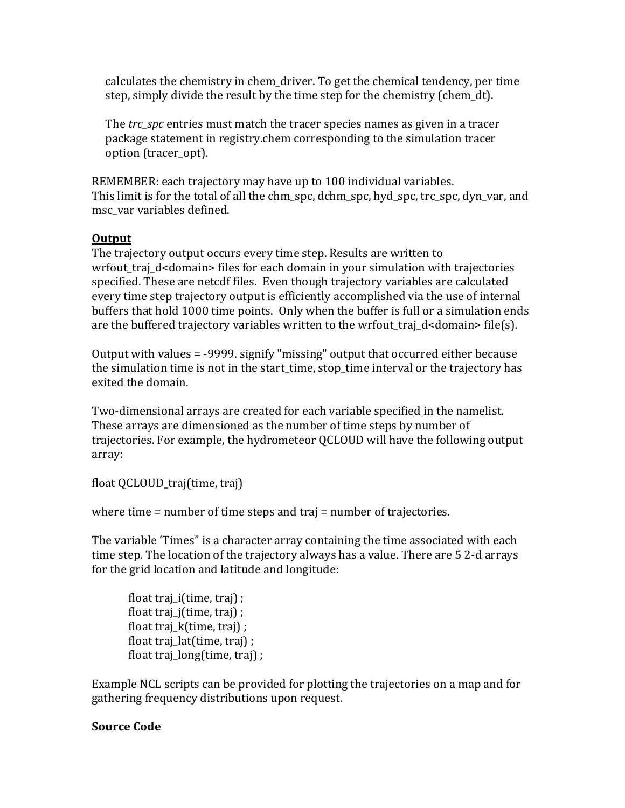calculates the chemistry in chem driver. To get the chemical tendency, per time step, simply divide the result by the time step for the chemistry (chem\_dt).

The *trc* spc entries must match the tracer species names as given in a tracer package statement in registry.chem corresponding to the simulation tracer option (tracer\_opt).

REMEMBER: each trajectory may have up to 100 individual variables. This limit is for the total of all the chm\_spc, dchm\_spc, hyd\_spc, trc\_spc, dyn\_var, and msc\_var variables defined.

# **Output**

The trajectory output occurs every time step. Results are written to wrfout\_traj\_d<domain> files for each domain in your simulation with trajectories specified. These are netcdf files. Even though trajectory variables are calculated every time step trajectory output is efficiently accomplished via the use of internal buffers that hold 1000 time points. Only when the buffer is full or a simulation ends are the buffered trajectory variables written to the wrfout\_traj\_d<domain> file(s).

Output with values = -9999. signify "missing" output that occurred either because the simulation time is not in the start time, stop time interval or the trajectory has exited the domain.

Two-dimensional arrays are created for each variable specified in the namelist. These arrays are dimensioned as the number of time steps by number of trajectories. For example, the hydrometeor QCLOUD will have the following output array:

float QCLOUD\_traj(time, traj)

```
where time = number of time steps and traj = number of trajectories.
```
The variable 'Times" is a character array containing the time associated with each time step. The location of the trajectory always has a value. There are 5 2-d arrays for the grid location and latitude and longitude:

float  $\text{traj}_i(\text{time}, \text{traj})$ ; float traj\_j(time, traj) ; float traj  $k$ (time, traj) ; float traj\_lat(time, traj) ; float traj\_long(time, traj) ;

Example NCL scripts can be provided for plotting the trajectories on a map and for gathering frequency distributions upon request.

# **Source Code**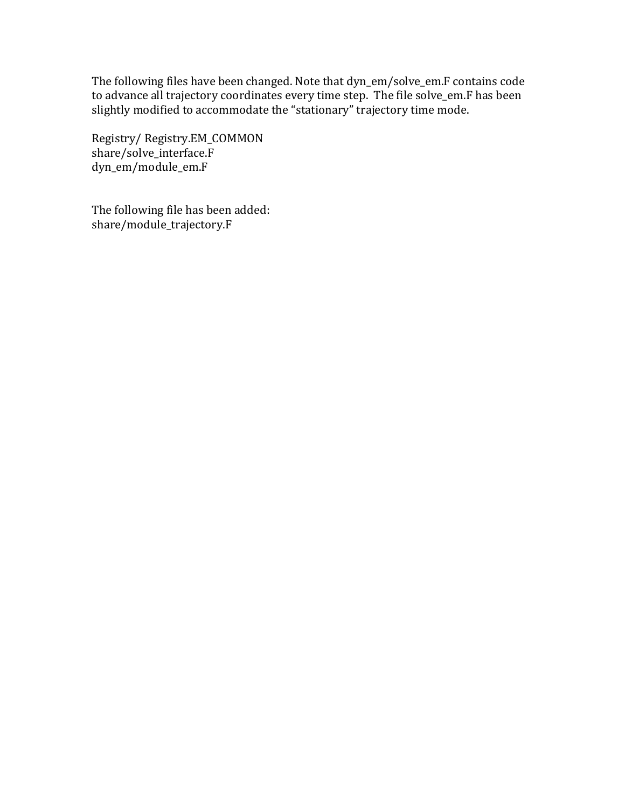The following files have been changed. Note that dyn\_em/solve\_em.F contains code to advance all trajectory coordinates every time step. The file solve\_em.F has been slightly modified to accommodate the "stationary" trajectory time mode.

Registry/ Registry.EM\_COMMON share/solve\_interface.F dyn\_em/module\_em.F

The following file has been added: share/module\_trajectory.F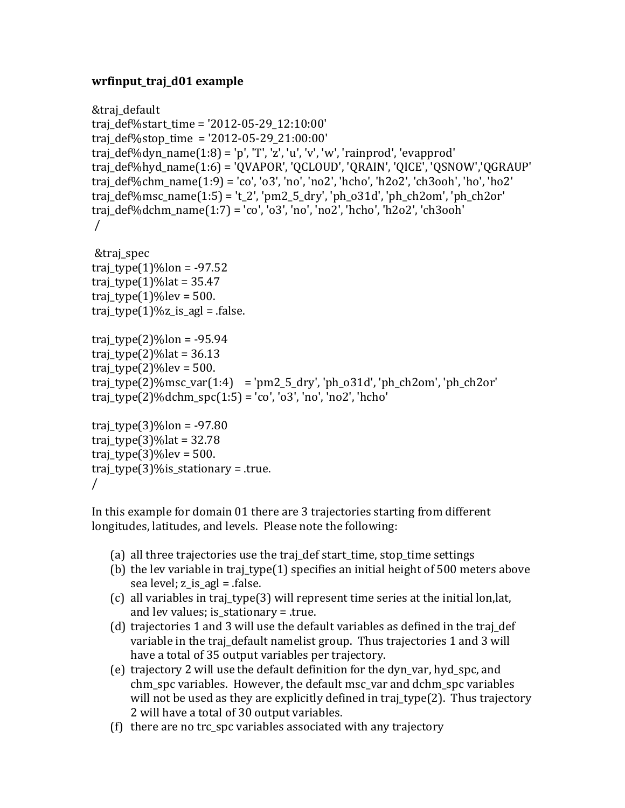### **wrfinput\_traj\_d01 example**

```
&traj_default
traj def%start time = '2012-05-29 12:10:00'
traj_def%stop_time = '2012-05-29_21:00:00'
traj def%dyn name(1:8) = 'p', 'T', 'z', 'u', 'v', 'rainprod', 'evapprod'traj_def%hyd_name(1:6) = 'QVAPOR', 'QCLOUD', 'QRAIN', 'QICE', 'QSNOW','QGRAUP'
traj_def%chm_name(1:9) = 'co', 'o3', 'no', 'no2', 'hcho', 'h2o2', 'ch3ooh', 'ho', 'ho2'traj_def%msc_name(1:5) = 't_2', 'pm2_5_dry', 'ph_031d', 'ph_ch2om', 'ph_ch2or'traj_def%dchm_name(1:7) = 'co', 'o3', 'no', 'no2', 'hcho', 'h2o2', 'ch3ooh'/
&traj_spec
traj_type(1)\%lon = -97.52traj type(1)% lat = 35.47
traj_type(1)%lev = 500.
traj_type(1)%z_is_agl = .false.
traj type(2)%lon = -95.94
traj_type(2)\%lat = 36.13
traj_type(2)%lev = 500.
traj_type(2)%msc_var(1:4) = 'pm2_5_dry', 'ph_o31d', 'ph_ch2om', 'ph_ch2or'
traj_type(2)\%dchm_spc(1:5) = 'co', 'o3', 'no', 'no2', 'hcho'traj type(3)%lon = -97.80
traj_type(3)\%lat = 32.78
traj_type(3)\%lev = 500.
traj_type(3)%is_stationary = .true.
```

```
/
```
In this example for domain 01 there are 3 trajectories starting from different longitudes, latitudes, and levels. Please note the following:

- (a) all three trajectories use the traj\_def start\_time, stop\_time settings
- (b) the lev variable in traj\_type(1) specifies an initial height of 500 meters above sea level;  $z_is$  agl =  $false$ .
- (c) all variables in traj\_type(3) will represent time series at the initial lon, lat, and lev values; is stationary = .true.
- (d) trajectories 1 and 3 will use the default variables as defined in the traj\_def variable in the traj default namelist group. Thus trajectories 1 and 3 will have a total of 35 output variables per trajectory.
- (e) trajectory 2 will use the default definition for the dyn var, hyd spc, and chm spc variables. However, the default msc var and dchm spc variables will not be used as they are explicitly defined in traj type(2). Thus trajectory 2 will have a total of 30 output variables.
- (f) there are no trc spc variables associated with any trajectory